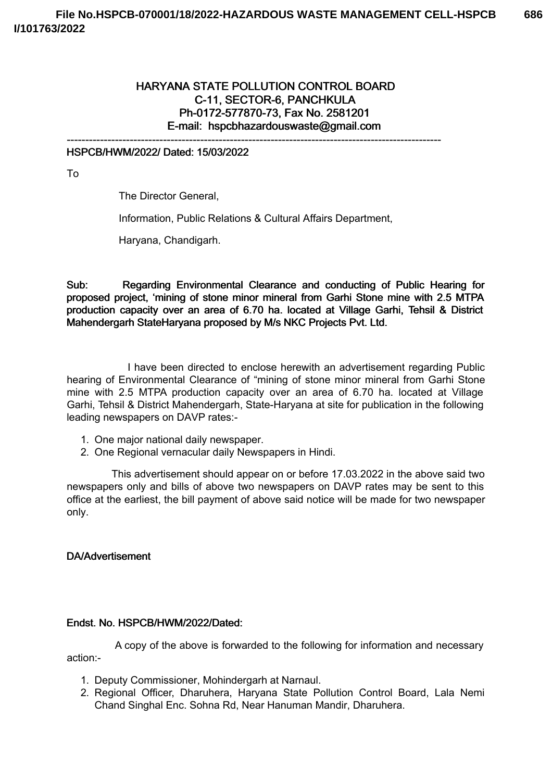# HARYANA STATE POLLUTION CONTROL BOARD C-11, SECTOR-6, PANCHKULA Ph-0172-577870-73, Fax No. 2581201 E-mail: hspcbhazardouswaste@gmail.com

-----------------------------------------------------------------------------------------------------

## HSPCB/HWM/2022/ Dated: 15/03/2022

To

The Director General,

Information, Public Relations & Cultural Affairs Department,

Haryana, Chandigarh.

Sub: Regarding Environmental Clearance and conducting of Public Hearing for proposed project, 'mining of stone minor mineral from Garhi Stone mine with 2.5 MTPA production capacity over an area of 6.70 ha. located at Village Garhi, Tehsil & District Mahendergarh StateHaryana proposed by M/s NKC Projects Pvt. Ltd.

I have been directed to enclose herewith an advertisement regarding Public hearing of Environmental Clearance of "mining of stone minor mineral from Garhi Stone mine with 2.5 MTPA production capacity over an area of 6.70 ha. located at Village Garhi, Tehsil & District Mahendergarh, State-Haryana at site for publication in the following leading newspapers on DAVP rates:-

- 1. One major national daily newspaper.
- 2. One Regional vernacular daily Newspapers in Hindi.

This advertisement should appear on or before 17.03.2022 in the above said two newspapers only and bills of above two newspapers on DAVP rates may be sent to this office at the earliest, the bill payment of above said notice will be made for two newspaper only.

#### DA/Advertisement

#### Endst. No. HSPCB/HWM/2022/Dated:

A copy of the above is forwarded to the following for information and necessary action:-

- 1. Deputy Commissioner, Mohindergarh at Narnaul.
- 2. Regional Officer, Dharuhera, Haryana State Pollution Control Board, Lala Nemi Chand Singhal Enc. Sohna Rd, Near Hanuman Mandir, Dharuhera.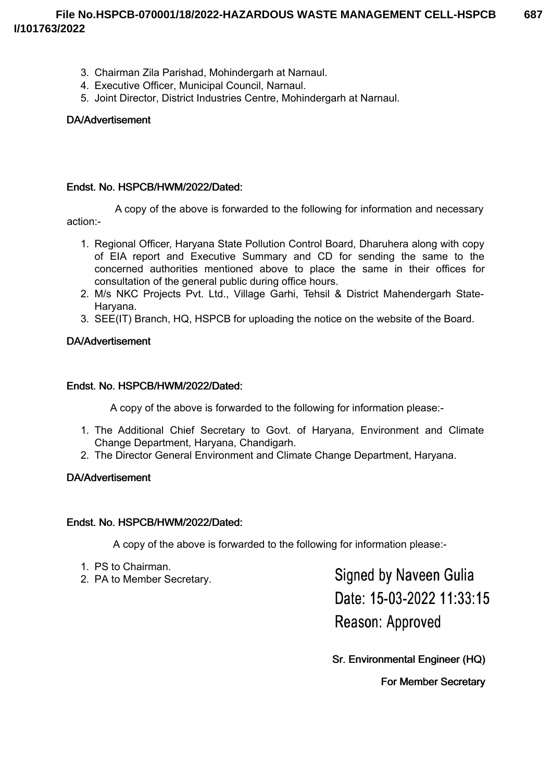- 3. Chairman Zila Parishad, Mohindergarh at Narnaul.
- 4. Executive Officer, Municipal Council, Narnaul.
- 5. Joint Director, District Industries Centre, Mohindergarh at Narnaul.

## DA/Advertisement

## Endst. No. HSPCB/HWM/2022/Dated:

A copy of the above is forwarded to the following for information and necessary action:-

- 1. Regional Officer, Haryana State Pollution Control Board, Dharuhera along with copy of EIA report and Executive Summary and CD for sending the same to the concerned authorities mentioned above to place the same in their offices for
- consultation of the general public during office hours. 2. M/s NKC Projects Pvt. Ltd., Village Garhi, Tehsil & District Mahendergarh State-Haryana.
- 3. SEE(IT) Branch, HQ, HSPCB for uploading the notice on the website of the Board.

## DA/Advertisement

### Endst. No. HSPCB/HWM/2022/Dated:

A copy of the above is forwarded to the following for information please:-

- 1. The Additional Chief Secretary to Govt. of Haryana, Environment and Climate Change Department, Haryana, Chandigarh.
- 2. The Director General Environment and Climate Change Department, Haryana.

### DA/Advertisement

### Endst. No. HSPCB/HWM/2022/Dated:

A copy of the above is forwarded to the following for information please:-

- 1. PS to Chairman.
- 2. PA to Member Secretary.

**Signed by Naveen Gulia** Date: 15-03-2022 11:33:15 Reason: Approved

Sr. Environmental Engineer (HQ)

For Member Secretary